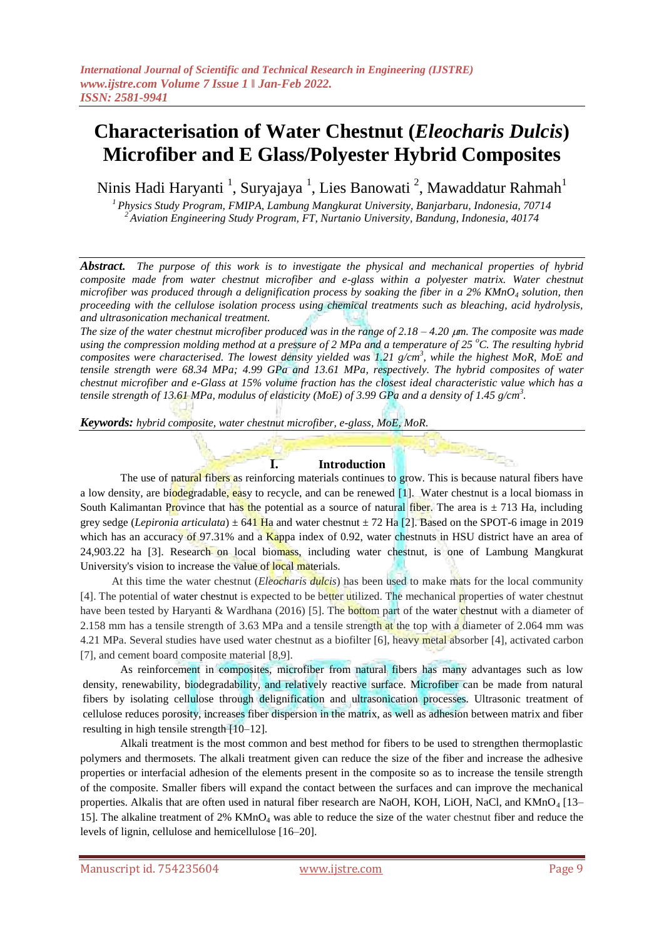# **Characterisation of Water Chestnut (***Eleocharis Dulcis***) Microfiber and E Glass/Polyester Hybrid Composites**

Ninis Hadi Haryanti <sup>1</sup>, Suryajaya <sup>1</sup>, Lies Banowati <sup>2</sup>, Mawaddatur Rahmah<sup>1</sup>

*<sup>1</sup>Physics Study Program, FMIPA, Lambung Mangkurat University, Banjarbaru, Indonesia, 70714 <sup>2</sup>Aviation Engineering Study Program, FT, Nurtanio University, Bandung, Indonesia, 40174*

*Abstract. The purpose of this work is to investigate the physical and mechanical properties of hybrid composite made from water chestnut microfiber and e-glass within a polyester matrix. Water chestnut microfiber was produced through a delignification process by soaking the fiber in a 2% KMnO<sup>4</sup> solution, then proceeding with the cellulose isolation process using chemical treatments such as bleaching, acid hydrolysis, and ultrasonication mechanical treatment.* 

*The size of the water chestnut microfiber produced was in the range of 2.18 – 4.20 m. The composite was made using the compression molding method at a pressure of 2 MPa and a temperature of 25 <sup>o</sup>C. The resulting hybrid composites were characterised. The lowest density yielded was 1.21 g/cm<sup>3</sup> , while the highest MoR, MoE and tensile strength were 68.34 MPa; 4.99 GPa and 13.61 MPa, respectively. The hybrid composites of water chestnut microfiber and e-Glass at 15% volume fraction has the closest ideal characteristic value which has a tensile strength of 13.61 MPa, modulus of elasticity (MoE) of 3.99 GPa and a density of 1.45 g/cm<sup>3</sup> .*

*Keywords: hybrid composite, water chestnut microfiber, e-glass, MoE, MoR.*

#### **I. Introduction**

The use of natural fibers as reinforcing materials continues to grow. This is because natural fibers have a low density, are biodegradable, easy to recycle, and can be renewed [1]. Water chestnut is a local biomass in South Kalimantan Province that has the potential as a source of natural fiber. The area is  $\pm$  713 Ha, including grey sedge (*Lepironia articulata*) ± 641 Ha and water chestnut ± 72 Ha [2]. Based on the SPOT-6 image in 2019 which has an accuracy of 97.31% and a Kappa index of 0.92, water chestnuts in HSU district have an area of 24,903.22 ha [3]. Research on local biomass, including water chestnut, is one of Lambung Mangkurat University's vision to increase the value of local materials.

At this time the water chestnut (*Eleocharis dulcis*) has been used to make mats for the local community [4]. The potential of water chestnut is expected to be better utilized. The mechanical properties of water chestnut have been tested by Haryanti & Wardhana (2016) [5]. The bottom part of the water chestnut with a diameter of 2.158 mm has a tensile strength of 3.63 MPa and a tensile strength at the top with a diameter of 2.064 mm was 4.21 MPa. Several studies have used water chestnut as a biofilter [6], heavy metal absorber [4], activated carbon [7], and cement board composite material [8,9].

As reinforcement in composites, microfiber from natural fibers has many advantages such as low density, renewability, biodegradability, and relatively reactive surface. Microfiber can be made from natural fibers by isolating cellulose through delignification and ultrasonication processes. Ultrasonic treatment of cellulose reduces porosity, increases fiber dispersion in the matrix, as well as adhesion between matrix and fiber resulting in high tensile strength [10–12].

Alkali treatment is the most common and best method for fibers to be used to strengthen thermoplastic polymers and thermosets. The alkali treatment given can reduce the size of the fiber and increase the adhesive properties or interfacial adhesion of the elements present in the composite so as to increase the tensile strength of the composite. Smaller fibers will expand the contact between the surfaces and can improve the mechanical properties. Alkalis that are often used in natural fiber research are NaOH, KOH, LiOH, NaCl, and  $KMnO<sub>4</sub>$  [13– 15]. The alkaline treatment of 2% KMnO<sup>4</sup> was able to reduce the size of the water chestnut fiber and reduce the levels of lignin, cellulose and hemicellulose [16–20].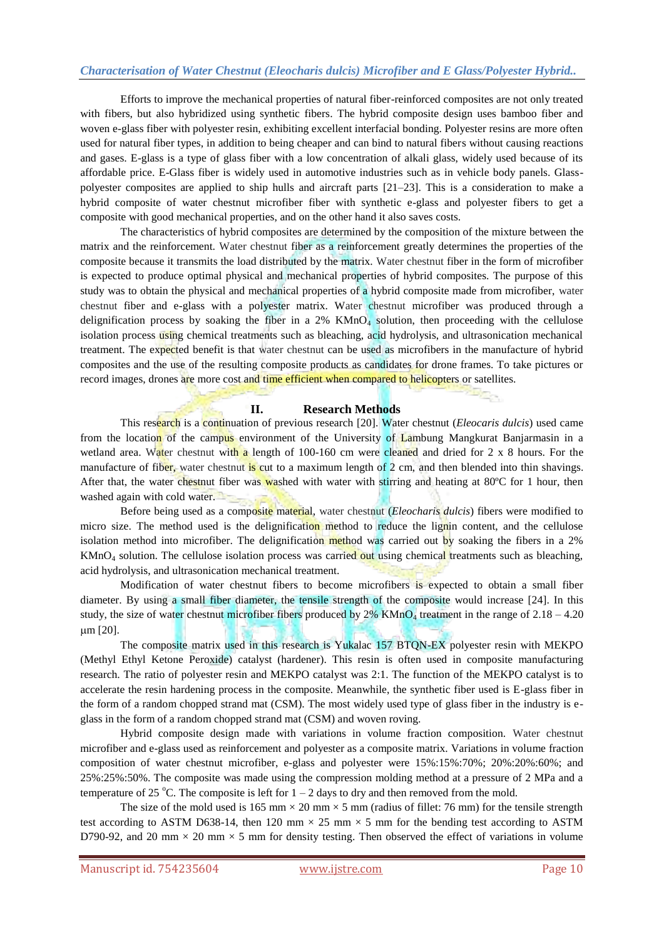## *Characterisation of Water Chestnut (Eleocharis dulcis) Microfiber and E Glass/Polyester Hybrid..*

Efforts to improve the mechanical properties of natural fiber-reinforced composites are not only treated with fibers, but also hybridized using synthetic fibers. The hybrid composite design uses bamboo fiber and woven e-glass fiber with polyester resin, exhibiting excellent interfacial bonding. Polyester resins are more often used for natural fiber types, in addition to being cheaper and can bind to natural fibers without causing reactions and gases. E-glass is a type of glass fiber with a low concentration of alkali glass, widely used because of its affordable price. E-Glass fiber is widely used in automotive industries such as in vehicle body panels. Glasspolyester composites are applied to ship hulls and aircraft parts [21–23]. This is a consideration to make a hybrid composite of water chestnut microfiber fiber with synthetic e-glass and polyester fibers to get a composite with good mechanical properties, and on the other hand it also saves costs.

The characteristics of hybrid composites are determined by the composition of the mixture between the matrix and the reinforcement. Water chestnut fiber as a reinforcement greatly determines the properties of the composite because it transmits the load distributed by the matrix. Water chestnut fiber in the form of microfiber is expected to produce optimal physical and mechanical properties of hybrid composites. The purpose of this study was to obtain the physical and mechanical properties of a hybrid composite made from microfiber, water chestnut fiber and e-glass with a polyester matrix. Water chestnut microfiber was produced through a delignification process by soaking the fiber in a  $2\%$  KMnO<sub>4</sub> solution, then proceeding with the cellulose isolation process using chemical treatments such as bleaching, acid hydrolysis, and ultrasonication mechanical treatment. The expected benefit is that water chestnut can be used as microfibers in the manufacture of hybrid composites and the use of the resulting composite products as candidates for drone frames. To take pictures or record images, drones are more cost and time efficient when compared to helicopters or satellites.

#### **II. Research Methods**

This research is a continuation of previous research [20]. Water chestnut (*Eleocaris dulcis*) used came from the location of the campus environment of the University of Lambung Mangkurat Banjarmasin in a wetland area. Water chestnut with a length of 100-160 cm were cleaned and dried for 2 x 8 hours. For the manufacture of fiber, water chestnut is cut to a maximum length of 2 cm, and then blended into thin shavings. After that, the water chestnut fiber was washed with water with stirring and heating at 80°C for 1 hour, then washed again with cold water.

Before being used as a composite material, water chestnut (*Eleocharis dulcis*) fibers were modified to micro size. The method used is the delignification method to reduce the lignin content, and the cellulose isolation method into microfiber. The delignification method was carried out by soaking the fibers in a 2%  $KMnO<sub>4</sub>$  solution. The cellulose isolation process was carried out using chemical treatments such as bleaching, acid hydrolysis, and ultrasonication mechanical treatment.

Modification of water chestnut fibers to become microfibers is expected to obtain a small fiber diameter. By using a small fiber diameter, the tensile strength of the composite would increase [24]. In this study, the size of water chestnut microfiber fibers produced by  $2\%$  KMnO<sub>4</sub> treatment in the range of  $2.18 - 4.20$ m [20].

The composite matrix used in this research is Yukalac 157 BTQN-EX polyester resin with MEKPO (Methyl Ethyl Ketone Peroxide) catalyst (hardener). This resin is often used in composite manufacturing research. The ratio of polyester resin and MEKPO catalyst was 2:1. The function of the MEKPO catalyst is to accelerate the resin hardening process in the composite. Meanwhile, the synthetic fiber used is E-glass fiber in the form of a random chopped strand mat (CSM). The most widely used type of glass fiber in the industry is eglass in the form of a random chopped strand mat (CSM) and woven roving.

Hybrid composite design made with variations in volume fraction composition. Water chestnut microfiber and e-glass used as reinforcement and polyester as a composite matrix. Variations in volume fraction composition of water chestnut microfiber, e-glass and polyester were 15%:15%:70%; 20%:20%:60%; and 25%:25%:50%. The composite was made using the compression molding method at a pressure of 2 MPa and a temperature of 25 °C. The composite is left for  $1 - 2$  days to dry and then removed from the mold.

The size of the mold used is  $165$  mm  $\times$  20 mm  $\times$  5 mm (radius of fillet: 76 mm) for the tensile strength test according to ASTM D638-14, then 120 mm  $\times$  25 mm  $\times$  5 mm for the bending test according to ASTM D790-92, and 20 mm  $\times$  20 mm  $\times$  5 mm for density testing. Then observed the effect of variations in volume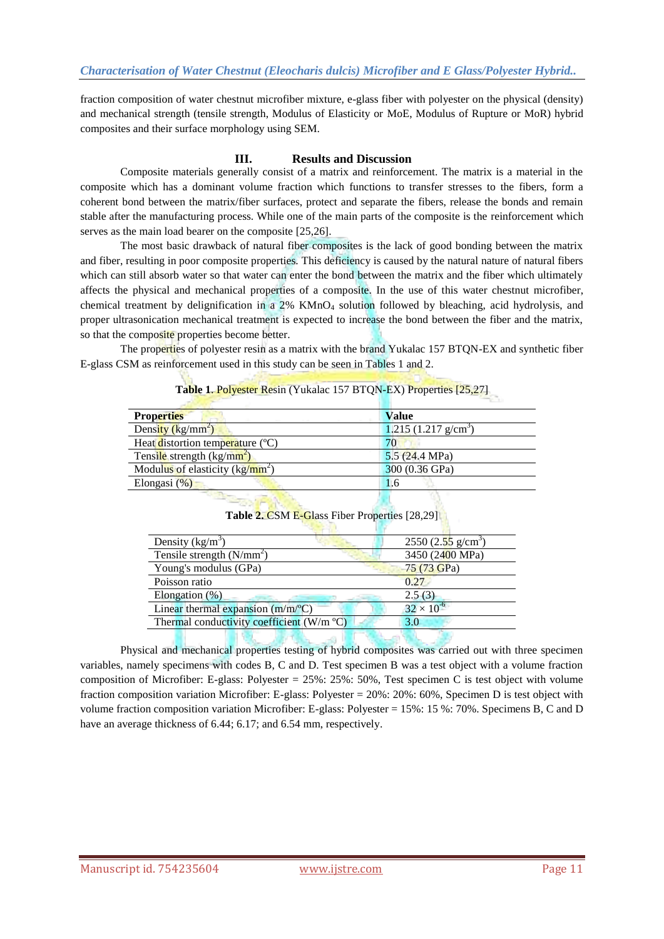fraction composition of water chestnut microfiber mixture, e-glass fiber with polyester on the physical (density) and mechanical strength (tensile strength, Modulus of Elasticity or MoE, Modulus of Rupture or MoR) hybrid composites and their surface morphology using SEM.

## **III. Results and Discussion**

Composite materials generally consist of a matrix and reinforcement. The matrix is a material in the composite which has a dominant volume fraction which functions to transfer stresses to the fibers, form a coherent bond between the matrix/fiber surfaces, protect and separate the fibers, release the bonds and remain stable after the manufacturing process. While one of the main parts of the composite is the reinforcement which serves as the main load bearer on the composite [25,26].

The most basic drawback of natural fiber composites is the lack of good bonding between the matrix and fiber, resulting in poor composite properties. This deficiency is caused by the natural nature of natural fibers which can still absorb water so that water can enter the bond between the matrix and the fiber which ultimately affects the physical and mechanical properties of a composite. In the use of this water chestnut microfiber, chemical treatment by delignification in a 2% KMnO<sub>4</sub> solution followed by bleaching, acid hydrolysis, and proper ultrasonication mechanical treatment is expected to increase the bond between the fiber and the matrix, so that the composite properties become better.

The properties of polyester resin as a matrix with the brand Yukalac 157 BTQN-EX and synthetic fiber E-glass CSM as reinforcement used in this study can be seen in Tables 1 and 2.

#### **Table 1**. Polyester Resin (Yukalac 157 BTQN-EX) Properties [25,27]

| <b>Properties</b>                  | <b>Value</b>                  |
|------------------------------------|-------------------------------|
| Density $(kg/mm^2)$                | $1.215(1.217 \text{ g/cm}^3)$ |
| Heat distortion temperature (°C)   | 70                            |
| Tensile strength $\frac{kg}{mm^2}$ | 5.5(24.4 MPa)                 |
| Modulus of elasticity $(kg/mm2)$   | 300 (0.36 GPa)                |
| Elongasi $(\%)$                    | 1.6                           |
|                                    |                               |

| Density $(kg/m^3)$                        | $2550 (2.55 \text{ g/cm}^3)$ |
|-------------------------------------------|------------------------------|
| Tensile strength $(N/mm2)$                | 3450 (2400 MPa)              |
| Young's modulus (GPa)                     | 75 (73 GPa)                  |
| Poisson ratio                             | 0.27                         |
| Elongation $(\%)$                         | 2.5(3)                       |
| Linear thermal expansion $(m/m^{\circ}C)$ | $32 \times 10^{-6}$          |
| Thermal conductivity coefficient (W/m °C) | 3.0                          |
|                                           |                              |

**Table 2.** CSM E-Glass Fiber Properties [28,29]

Physical and mechanical properties testing of hybrid composites was carried out with three specimen variables, namely specimens with codes B, C and D. Test specimen B was a test object with a volume fraction composition of Microfiber: E-glass: Polyester = 25%: 25%: 50%, Test specimen C is test object with volume fraction composition variation Microfiber: E-glass: Polyester = 20%: 20%: 60%, Specimen D is test object with volume fraction composition variation Microfiber: E-glass: Polyester = 15%: 15 %: 70%. Specimens B, C and D have an average thickness of 6.44; 6.17; and 6.54 mm, respectively.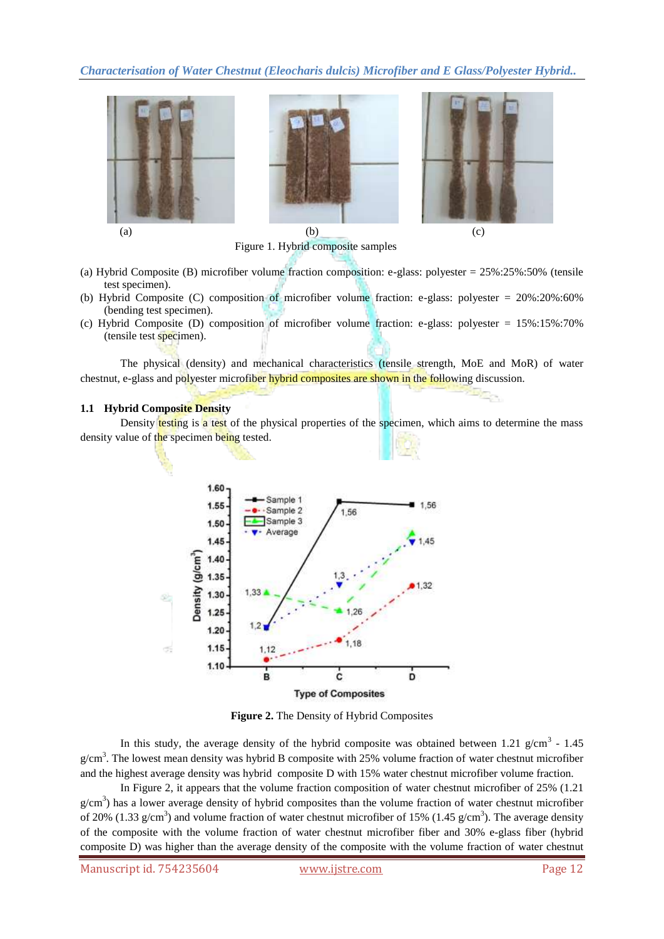*Characterisation of Water Chestnut (Eleocharis dulcis) Microfiber and E Glass/Polyester Hybrid..*



Figure 1. Hybrid composite samples

- (a) Hybrid Composite (B) microfiber volume fraction composition: e-glass: polyester = 25%:25%:50% (tensile test specimen).
- (b) Hybrid Composite (C) composition of microfiber volume fraction: e-glass: polyester = 20%:20%:60% (bending test specimen).
- (c) Hybrid Composite (D) composition of microfiber volume fraction: e-glass: polyester = 15%:15%:70% (tensile test specimen).

The physical (density) and mechanical characteristics (tensile strength, MoE and MoR) of water chestnut, e-glass and polyester microfiber hybrid composites are shown in the following discussion.

#### **1.1 Hybrid Composite Density**

Density testing is a test of the physical properties of the specimen, which aims to determine the mass density value of the specimen being tested.



**Figure 2.** The Density of Hybrid Composites

In this study, the average density of the hybrid composite was obtained between 1.21  $g/cm^3$  - 1.45  $g/cm<sup>3</sup>$ . The lowest mean density was hybrid B composite with 25% volume fraction of water chestnut microfiber and the highest average density was hybrid composite D with 15% water chestnut microfiber volume fraction.

In Figure 2, it appears that the volume fraction composition of water chestnut microfiber of 25% (1.21  $g/cm<sup>3</sup>$ ) has a lower average density of hybrid composites than the volume fraction of water chestnut microfiber of 20% (1.33 g/cm<sup>3</sup>) and volume fraction of water chestnut microfiber of 15% (1.45 g/cm<sup>3</sup>). The average density of the composite with the volume fraction of water chestnut microfiber fiber and 30% e-glass fiber (hybrid composite D) was higher than the average density of the composite with the volume fraction of water chestnut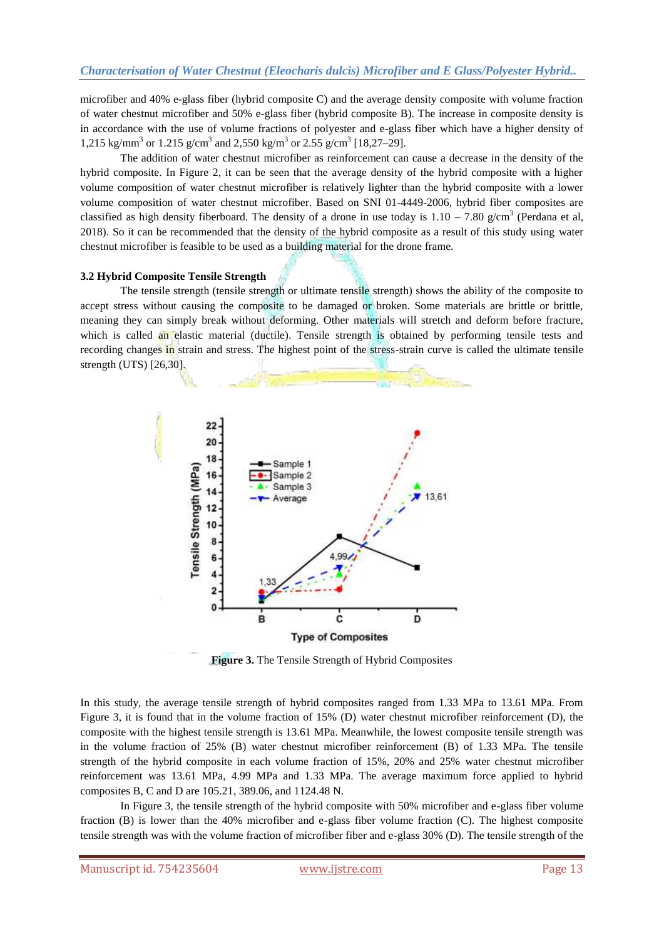microfiber and 40% e-glass fiber (hybrid composite C) and the average density composite with volume fraction of water chestnut microfiber and 50% e-glass fiber (hybrid composite B). The increase in composite density is in accordance with the use of volume fractions of polyester and e-glass fiber which have a higher density of 1,215 kg/mm<sup>3</sup> or 1.215 g/cm<sup>3</sup> and 2,550 kg/m<sup>3</sup> or 2.55 g/cm<sup>3</sup> [18,27–29].

The addition of water chestnut microfiber as reinforcement can cause a decrease in the density of the hybrid composite. In Figure 2, it can be seen that the average density of the hybrid composite with a higher volume composition of water chestnut microfiber is relatively lighter than the hybrid composite with a lower volume composition of water chestnut microfiber. Based on SNI 01-4449-2006, hybrid fiber composites are classified as high density fiberboard. The density of a drone in use today is  $1.10 - 7.80$  g/cm<sup>3</sup> (Perdana et al, 2018). So it can be recommended that the density of the hybrid composite as a result of this study using water chestnut microfiber is feasible to be used as a building material for the drone frame.

#### **3.2 Hybrid Composite Tensile Strength**

The tensile strength (tensile strength or ultimate tensile strength) shows the ability of the composite to accept stress without causing the composite to be damaged or broken. Some materials are brittle or brittle, meaning they can simply break without deforming. Other materials will stretch and deform before fracture, which is called an elastic material (ductile). Tensile strength is obtained by performing tensile tests and recording changes in strain and stress. The highest point of the stress-strain curve is called the ultimate tensile strength (UTS) [26,30].



**Figure 3.** The Tensile Strength of Hybrid Composites

In this study, the average tensile strength of hybrid composites ranged from 1.33 MPa to 13.61 MPa. From Figure 3, it is found that in the volume fraction of 15% (D) water chestnut microfiber reinforcement (D), the composite with the highest tensile strength is 13.61 MPa. Meanwhile, the lowest composite tensile strength was in the volume fraction of 25% (B) water chestnut microfiber reinforcement (B) of 1.33 MPa. The tensile strength of the hybrid composite in each volume fraction of 15%, 20% and 25% water chestnut microfiber reinforcement was 13.61 MPa, 4.99 MPa and 1.33 MPa. The average maximum force applied to hybrid composites B, C and D are 105.21, 389.06, and 1124.48 N.

In Figure 3, the tensile strength of the hybrid composite with 50% microfiber and e-glass fiber volume fraction (B) is lower than the 40% microfiber and e-glass fiber volume fraction (C). The highest composite tensile strength was with the volume fraction of microfiber fiber and e-glass 30% (D). The tensile strength of the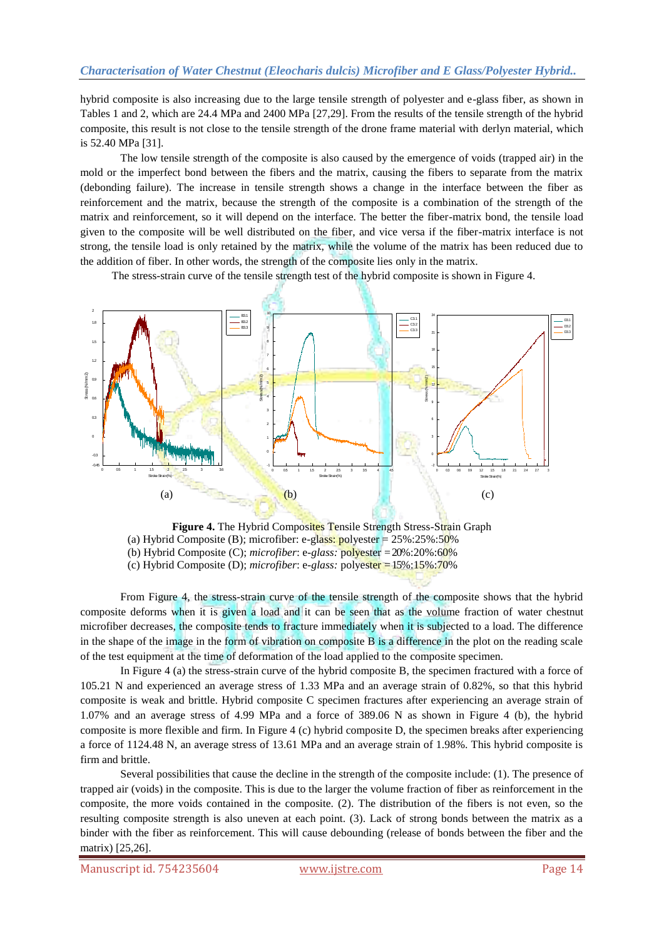hybrid composite is also increasing due to the large tensile strength of polyester and e-glass fiber, as shown in Tables 1 and 2, which are 24.4 MPa and 2400 MPa [27,29]. From the results of the tensile strength of the hybrid composite, this result is not close to the tensile strength of the drone frame material with derlyn material, which is 52.40 MPa [31].

The low tensile strength of the composite is also caused by the emergence of voids (trapped air) in the mold or the imperfect bond between the fibers and the matrix, causing the fibers to separate from the matrix (debonding failure). The increase in tensile strength shows a change in the interface between the fiber as reinforcement and the matrix, because the strength of the composite is a combination of the strength of the matrix and reinforcement, so it will depend on the interface. The better the fiber-matrix bond, the tensile load given to the composite will be well distributed on the fiber, and vice versa if the fiber-matrix interface is not strong, the tensile load is only retained by the matrix, while the volume of the matrix has been reduced due to the addition of fiber. In other words, the strength of the composite lies only in the matrix.

The stress-strain curve of the tensile strength test of the hybrid composite is shown in Figure 4.



**Figure 4.** The Hybrid Composites Tensile Strength Stress-Strain Graph (a) Hybrid Composite (B); microfiber: e-glass: polyester =  $25\%$ :25%:50% (b) Hybrid Composite (C); *microfiber*: e*-glass:* polyester = 20%:20%:60% (c) Hybrid Composite (D); *microfiber*: e*-glass:* polyester = 15%:15%:70%

From Figure 4, the stress-strain curve of the tensile strength of the composite shows that the hybrid composite deforms when it is given a load and it can be seen that as the volume fraction of water chestnut microfiber decreases, the composite tends to fracture immediately when it is subjected to a load. The difference in the shape of the image in the form of vibration on composite B is a difference in the plot on the reading scale of the test equipment at the time of deformation of the load applied to the composite specimen.

In Figure 4 (a) the stress-strain curve of the hybrid composite B, the specimen fractured with a force of 105.21 N and experienced an average stress of 1.33 MPa and an average strain of 0.82%, so that this hybrid composite is weak and brittle. Hybrid composite C specimen fractures after experiencing an average strain of 1.07% and an average stress of 4.99 MPa and a force of 389.06 N as shown in Figure 4 (b), the hybrid composite is more flexible and firm. In Figure 4 (c) hybrid composite D, the specimen breaks after experiencing a force of 1124.48 N, an average stress of 13.61 MPa and an average strain of 1.98%. This hybrid composite is firm and brittle.

Several possibilities that cause the decline in the strength of the composite include: (1). The presence of trapped air (voids) in the composite. This is due to the larger the volume fraction of fiber as reinforcement in the composite, the more voids contained in the composite. (2). The distribution of the fibers is not even, so the resulting composite strength is also uneven at each point. (3). Lack of strong bonds between the matrix as a binder with the fiber as reinforcement. This will cause debounding (release of bonds between the fiber and the matrix) [25,26].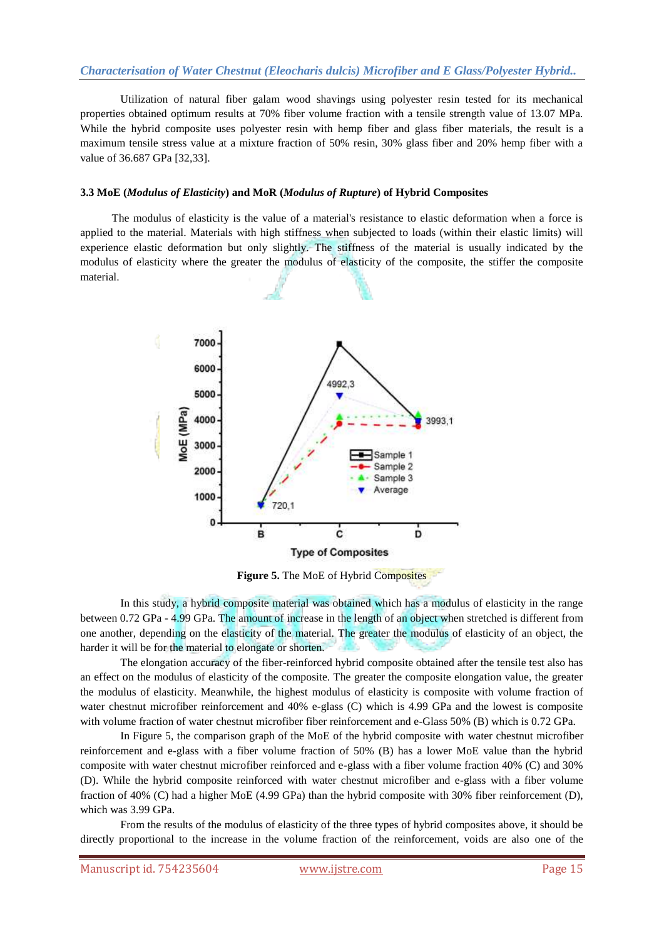Utilization of natural fiber galam wood shavings using polyester resin tested for its mechanical properties obtained optimum results at 70% fiber volume fraction with a tensile strength value of 13.07 MPa. While the hybrid composite uses polyester resin with hemp fiber and glass fiber materials, the result is a maximum tensile stress value at a mixture fraction of 50% resin, 30% glass fiber and 20% hemp fiber with a value of 36.687 GPa [32,33].

#### **3.3 MoE (***Modulus of Elasticity***) and MoR (***Modulus of Rupture***) of Hybrid Composites**

The modulus of elasticity is the value of a material's resistance to elastic deformation when a force is applied to the material. Materials with high stiffness when subjected to loads (within their elastic limits) will experience elastic deformation but only slightly. The stiffness of the material is usually indicated by the modulus of elasticity where the greater the modulus of elasticity of the composite, the stiffer the composite material.



**Figure 5.** The MoE of Hybrid Composites

In this study, a hybrid composite material was obtained which has a modulus of elasticity in the range between 0.72 GPa - 4.99 GPa. The amount of increase in the length of an object when stretched is different from one another, depending on the elasticity of the material. The greater the modulus of elasticity of an object, the harder it will be for the material to elongate or shorten.

The elongation accuracy of the fiber-reinforced hybrid composite obtained after the tensile test also has an effect on the modulus of elasticity of the composite. The greater the composite elongation value, the greater the modulus of elasticity. Meanwhile, the highest modulus of elasticity is composite with volume fraction of water chestnut microfiber reinforcement and 40% e-glass (C) which is 4.99 GPa and the lowest is composite with volume fraction of water chestnut microfiber fiber reinforcement and e-Glass 50% (B) which is 0.72 GPa.

In Figure 5, the comparison graph of the MoE of the hybrid composite with water chestnut microfiber reinforcement and e-glass with a fiber volume fraction of 50% (B) has a lower MoE value than the hybrid composite with water chestnut microfiber reinforced and e-glass with a fiber volume fraction 40% (C) and 30% (D). While the hybrid composite reinforced with water chestnut microfiber and e-glass with a fiber volume fraction of 40% (C) had a higher MoE (4.99 GPa) than the hybrid composite with 30% fiber reinforcement (D), which was 3.99 GPa.

From the results of the modulus of elasticity of the three types of hybrid composites above, it should be directly proportional to the increase in the volume fraction of the reinforcement, voids are also one of the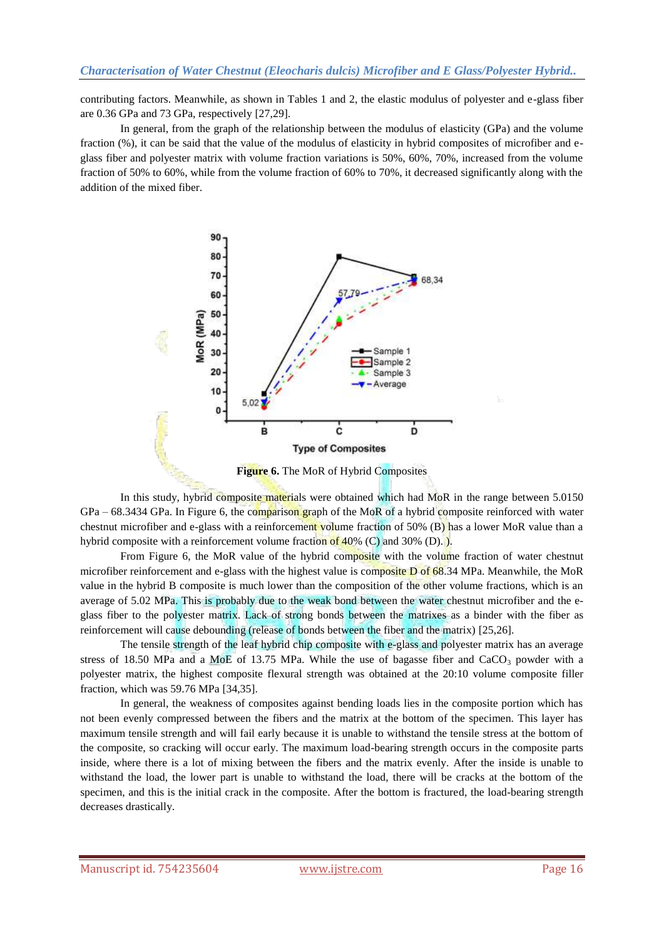contributing factors. Meanwhile, as shown in Tables 1 and 2, the elastic modulus of polyester and e-glass fiber are 0.36 GPa and 73 GPa, respectively [27,29].

In general, from the graph of the relationship between the modulus of elasticity (GPa) and the volume fraction (%), it can be said that the value of the modulus of elasticity in hybrid composites of microfiber and eglass fiber and polyester matrix with volume fraction variations is 50%, 60%, 70%, increased from the volume fraction of 50% to 60%, while from the volume fraction of 60% to 70%, it decreased significantly along with the addition of the mixed fiber.



**Figure 6.** The MoR of Hybrid Composites

In this study, hybrid composite materials were obtained which had MoR in the range between 5.0150  $GPa - 68.3434$  GPa. In Figure 6, the comparison graph of the MoR of a hybrid composite reinforced with water chestnut microfiber and e-glass with a reinforcement volume fraction of 50% (B) has a lower MoR value than a hybrid composite with a reinforcement volume fraction of 40% (C) and 30% (D).

From Figure 6, the MoR value of the hybrid composite with the volume fraction of water chestnut microfiber reinforcement and e-glass with the highest value is composite D of 68.34 MPa. Meanwhile, the MoR value in the hybrid B composite is much lower than the composition of the other volume fractions, which is an average of 5.02 MPa. This is probably due to the weak bond between the water chestnut microfiber and the eglass fiber to the polyester matrix. Lack of strong bonds between the matrixes as a binder with the fiber as reinforcement will cause debounding (release of bonds between the fiber and the matrix) [25,26].

The tensile strength of the leaf hybrid chip composite with e-glass and polyester matrix has an average stress of 18.50 MPa and a MoE of 13.75 MPa. While the use of bagasse fiber and  $CaCO<sub>3</sub>$  powder with a polyester matrix, the highest composite flexural strength was obtained at the 20:10 volume composite filler fraction, which was 59.76 MPa [34,35].

In general, the weakness of composites against bending loads lies in the composite portion which has not been evenly compressed between the fibers and the matrix at the bottom of the specimen. This layer has maximum tensile strength and will fail early because it is unable to withstand the tensile stress at the bottom of the composite, so cracking will occur early. The maximum load-bearing strength occurs in the composite parts inside, where there is a lot of mixing between the fibers and the matrix evenly. After the inside is unable to withstand the load, the lower part is unable to withstand the load, there will be cracks at the bottom of the specimen, and this is the initial crack in the composite. After the bottom is fractured, the load-bearing strength decreases drastically.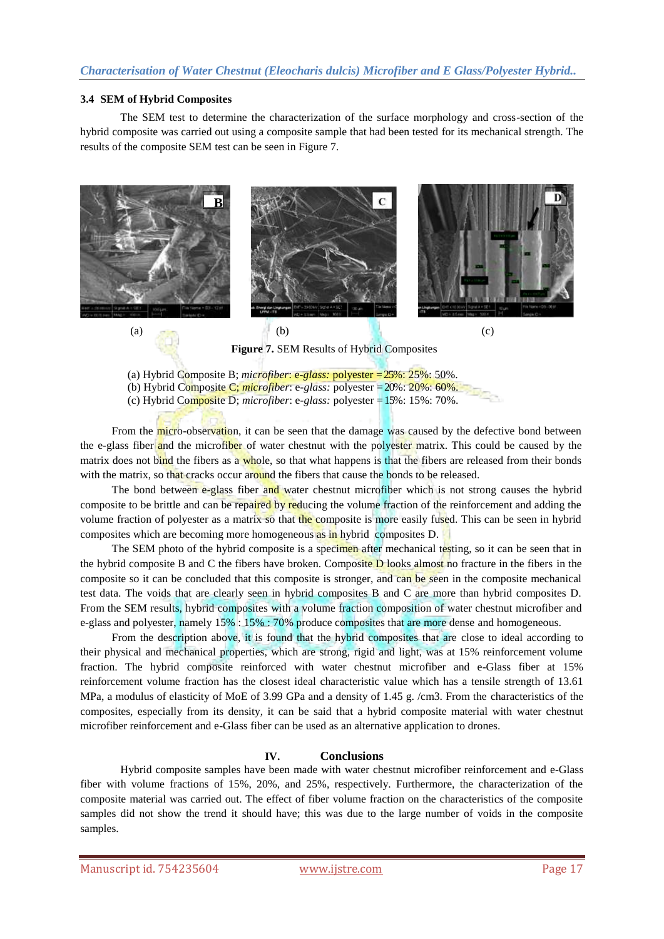#### **3.4 SEM of Hybrid Composites**

The SEM test to determine the characterization of the surface morphology and cross-section of the hybrid composite was carried out using a composite sample that had been tested for its mechanical strength. The results of the composite SEM test can be seen in Figure 7.



**Figure 7.** SEM Results of Hybrid Composites

(a) Hybrid Composite B; *microfiber*: e*-glass:* polyester = 25%: 25%: 50%.

From the micro-observation, it can be seen that the damage was caused by the defective bond between the e-glass fiber and the microfiber of water chestnut with the polyester matrix. This could be caused by the matrix does not bind the fibers as a whole, so that what happens is that the fibers are released from their bonds with the matrix, so that cracks occur around the fibers that cause the bonds to be released.

The bond between e-glass fiber and water chestnut microfiber which is not strong causes the hybrid composite to be brittle and can be repaired by reducing the volume fraction of the reinforcement and adding the volume fraction of polyester as a matrix so that the composite is more easily fused. This can be seen in hybrid composites which are becoming more homogeneous as in hybrid composites D.

The SEM photo of the hybrid composite is a specimen after mechanical testing, so it can be seen that in the hybrid composite B and C the fibers have broken. Composite D looks almost no fracture in the fibers in the composite so it can be concluded that this composite is stronger, and can be seen in the composite mechanical test data. The voids that are clearly seen in hybrid composites B and C are more than hybrid composites D. From the SEM results, hybrid composites with a volume fraction composition of water chestnut microfiber and e-glass and polyester, namely 15% : 15% : 70% produce composites that are more dense and homogeneous.

From the description above, it is found that the hybrid composites that are close to ideal according to their physical and mechanical properties, which are strong, rigid and light, was at 15% reinforcement volume fraction. The hybrid composite reinforced with water chestnut microfiber and e-Glass fiber at 15% reinforcement volume fraction has the closest ideal characteristic value which has a tensile strength of 13.61 MPa, a modulus of elasticity of MoE of 3.99 GPa and a density of 1.45 g. /cm3. From the characteristics of the composites, especially from its density, it can be said that a hybrid composite material with water chestnut microfiber reinforcement and e-Glass fiber can be used as an alternative application to drones.

## **IV. Conclusions**

Hybrid composite samples have been made with water chestnut microfiber reinforcement and e-Glass fiber with volume fractions of 15%, 20%, and 25%, respectively. Furthermore, the characterization of the composite material was carried out. The effect of fiber volume fraction on the characteristics of the composite samples did not show the trend it should have; this was due to the large number of voids in the composite samples.

<sup>(</sup>b) Hybrid Composite C; *microfiber*: e*-glass:* polyester = 20%: 20%: 60%.

<sup>(</sup>c) Hybrid Composite D; *microfiber*: e*-glass:* polyester = 15%: 15%: 70%.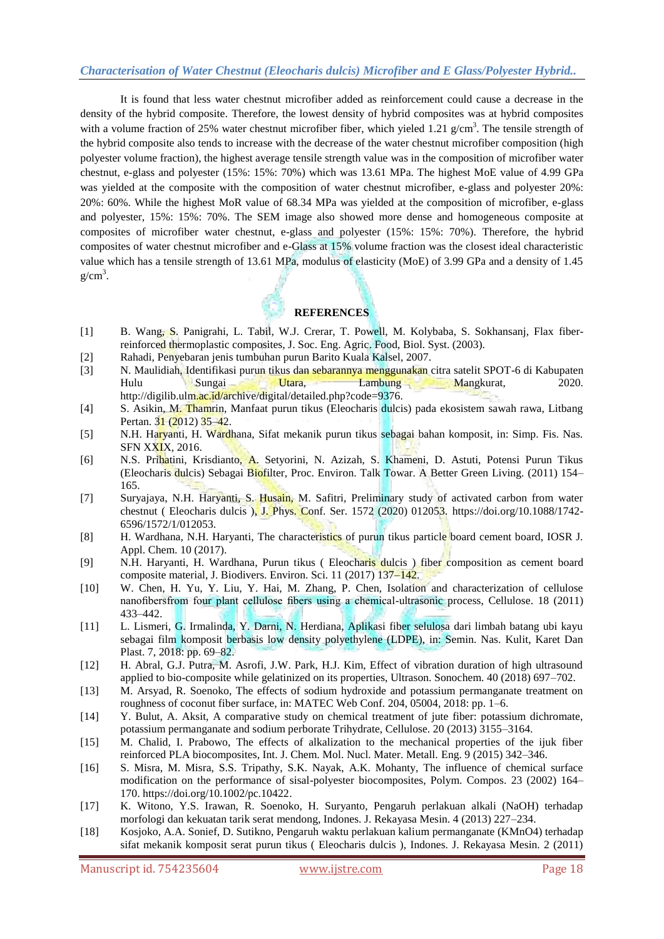## *Characterisation of Water Chestnut (Eleocharis dulcis) Microfiber and E Glass/Polyester Hybrid..*

It is found that less water chestnut microfiber added as reinforcement could cause a decrease in the density of the hybrid composite. Therefore, the lowest density of hybrid composites was at hybrid composites with a volume fraction of 25% water chestnut microfiber fiber, which yieled 1.21  $g/cm<sup>3</sup>$ . The tensile strength of the hybrid composite also tends to increase with the decrease of the water chestnut microfiber composition (high polyester volume fraction), the highest average tensile strength value was in the composition of microfiber water chestnut, e-glass and polyester (15%: 15%: 70%) which was 13.61 MPa. The highest MoE value of 4.99 GPa was yielded at the composite with the composition of water chestnut microfiber, e-glass and polyester 20%: 20%: 60%. While the highest MoR value of 68.34 MPa was yielded at the composition of microfiber, e-glass and polyester, 15%: 15%: 70%. The SEM image also showed more dense and homogeneous composite at composites of microfiber water chestnut, e-glass and polyester (15%: 15%: 70%). Therefore, the hybrid composites of water chestnut microfiber and e-Glass at 15% volume fraction was the closest ideal characteristic value which has a tensile strength of 13.61 MPa, modulus of elasticity (MoE) of 3.99 GPa and a density of 1.45  $g/cm<sup>3</sup>$ .

## **REFERENCES**

- [1] B. Wang, S. Panigrahi, L. Tabil, W.J. Crerar, T. Powell, M. Kolybaba, S. Sokhansanj, Flax fiberreinforced thermoplastic composites, J. Soc. Eng. Agric. Food, Biol. Syst. (2003).
- [2] Rahadi, Penyebaran jenis tumbuhan purun Barito Kuala Kalsel, 2007.
- [3] N. Maulidiah, Identifikasi purun tikus dan sebarannya menggunakan citra satelit SPOT-6 di Kabupaten Hulu Sungai Utara, Lambung Mangkurat, 2020. http://digilib.ulm.ac.id/archive/digital/detailed.php?code=9376.
- [4] S. Asikin, M. Thamrin, Manfaat purun tikus (Eleocharis dulcis) pada ekosistem sawah rawa, Litbang Pertan. 31 (2012) 35–42.
- [5] N.H. Haryanti, H. Wardhana, Sifat mekanik purun tikus sebagai bahan komposit, in: Simp. Fis. Nas. SFN XXIX, 2016.
- [6] N.S. Prihatini, Krisdianto, A. Setyorini, N. Azizah, S. Khameni, D. Astuti, Potensi Purun Tikus (Eleocharis dulcis) Sebagai Biofilter, Proc. Environ. Talk Towar. A Better Green Living. (2011) 154– 165.
- [7] Suryajaya, N.H. Haryanti, S. Husain, M. Safitri, Preliminary study of activated carbon from water chestnut ( Eleocharis dulcis ), J. Phys. Conf. Ser. 1572 (2020) 012053. https://doi.org/10.1088/1742- 6596/1572/1/012053.
- [8] H. Wardhana, N.H. Haryanti, The characteristics of purun tikus particle board cement board, IOSR J. Appl. Chem. 10 (2017).
- [9] N.H. Haryanti, H. Wardhana, Purun tikus ( Eleocharis dulcis ) fiber composition as cement board composite material, J. Biodivers. Environ. Sci. 11 (2017) 137–142.
- [10] W. Chen, H. Yu, Y. Liu, Y. Hai, M. Zhang, P. Chen, Isolation and characterization of cellulose nanofibersfrom four plant cellulose fibers using a chemical-ultrasonic process, Cellulose. 18 (2011) 433–442.
- [11] L. Lismeri, G. Irmalinda, Y. Darni, N. Herdiana, Aplikasi fiber selulosa dari limbah batang ubi kayu sebagai film komposit berbasis low density polyethylene (LDPE), in: Semin. Nas. Kulit, Karet Dan Plast. 7, 2018: pp. 69–82.
- [12] H. Abral, G.J. Putra, M. Asrofi, J.W. Park, H.J. Kim, Effect of vibration duration of high ultrasound applied to bio-composite while gelatinized on its properties, Ultrason. Sonochem. 40 (2018) 697–702.
- [13] M. Arsyad, R. Soenoko, The effects of sodium hydroxide and potassium permanganate treatment on roughness of coconut fiber surface, in: MATEC Web Conf. 204, 05004, 2018: pp. 1–6.
- [14] Y. Bulut, A. Aksit, A comparative study on chemical treatment of jute fiber: potassium dichromate, potassium permanganate and sodium perborate Trihydrate, Cellulose. 20 (2013) 3155–3164.
- [15] M. Chalid, I. Prabowo, The effects of alkalization to the mechanical properties of the ijuk fiber reinforced PLA biocomposites, Int. J. Chem. Mol. Nucl. Mater. Metall. Eng. 9 (2015) 342–346.
- [16] S. Misra, M. Misra, S.S. Tripathy, S.K. Nayak, A.K. Mohanty, The influence of chemical surface modification on the performance of sisal-polyester biocomposites, Polym. Compos. 23 (2002) 164– 170. https://doi.org/10.1002/pc.10422.
- [17] K. Witono, Y.S. Irawan, R. Soenoko, H. Suryanto, Pengaruh perlakuan alkali (NaOH) terhadap morfologi dan kekuatan tarik serat mendong, Indones. J. Rekayasa Mesin. 4 (2013) 227–234.
- [18] Kosjoko, A.A. Sonief, D. Sutikno, Pengaruh waktu perlakuan kalium permanganate (KMnO4) terhadap sifat mekanik komposit serat purun tikus ( Eleocharis dulcis ), Indones. J. Rekayasa Mesin. 2 (2011)